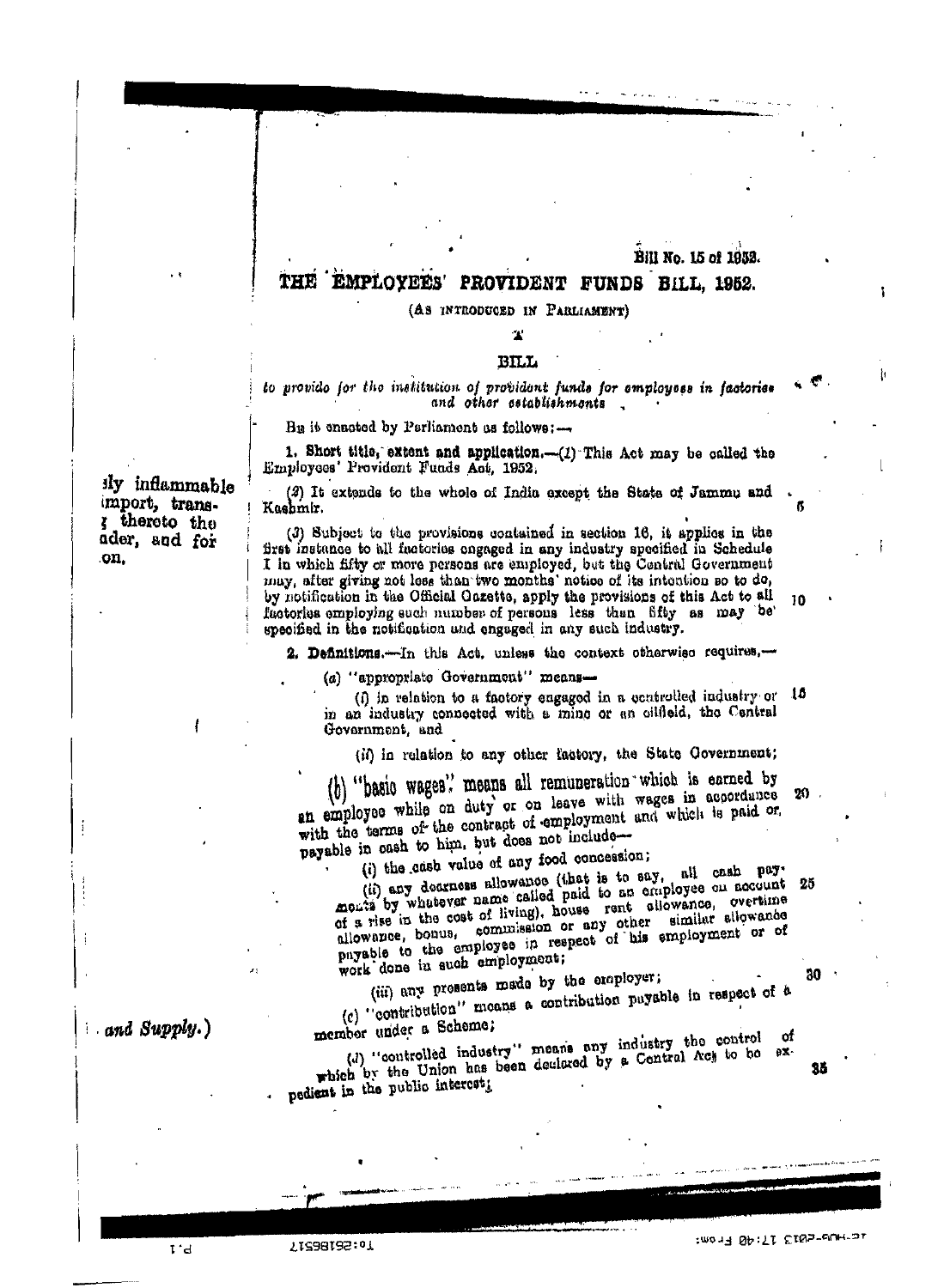#### Bill No. 15 of 1952.

#### THE EMPLOYEES' PROVIDENT FUNDS BILL, 1952.

#### (AS INTRODUCED IN PARLIAMENT)

# 'N

## **BILL**

#### to provide for the institution of provident funds for employees in factories and other establishments

Bu it enacted by Perliament as follows:-

1. Short title, extent and application.--(1) This Act may be called the Employees' Provident Funds Act. 1952.

(2) It extends to the whole of India except the State of Jammu and Kashmir.

(3) Subject to the provisions contained in section 16, it applies in the first instance to all factories ongaged in any industry specified in Schedule I in which fifty or more persons are employed, but the Central Government may, after giving not less than two months' notice of its intention so to do, by notification in the Official Gazette, apply the provisions of this Act to all factories employing such number of persons less than fifty as may be specified in the notification and engaged in any such industry.

2. Definitions.-In this Act, unless the context otherwise requires,-

(a) "appropriate Government" means-

(i) in relation to a factory engaged in a controlled industry or 15 in an industry connected with a mine or an oilfield, the Central Government, and

(ii) in relation to any other factory, the State Covernment;

basic wages.' means all remuneration which is earned by an employee while on duty or on leave with wages in accordance with the terms of the contract of employment and which is paid or, payable in eash to him, but does not include-

(i) the cash value of any food concession;

all cash pay. (ii) any decreess allowance (that is to say, monts by whatever name called paid to an employee on account 25 of a rise in the cost of living), house rent allowance, overtime allowance, bonus, commission or any other similar allowance payable to the employee in respect of his employment or of work done in such employment;

(iii) any presents made by the employer;

(c) "contribution" means a contribution payable in respect of a

member under a Scheme;

(d) "controlled industry" means any industry the control which by the Union has been declared by a Central Act to be  $eX$ pedient in the public intercet;

ily inflammable import, transz thereto the ader, and for .on.

and Supply.)

 $T^*d$ 

10:58192:01

:mony SA:TI EINS-UUH-SI

30

35

.cf

10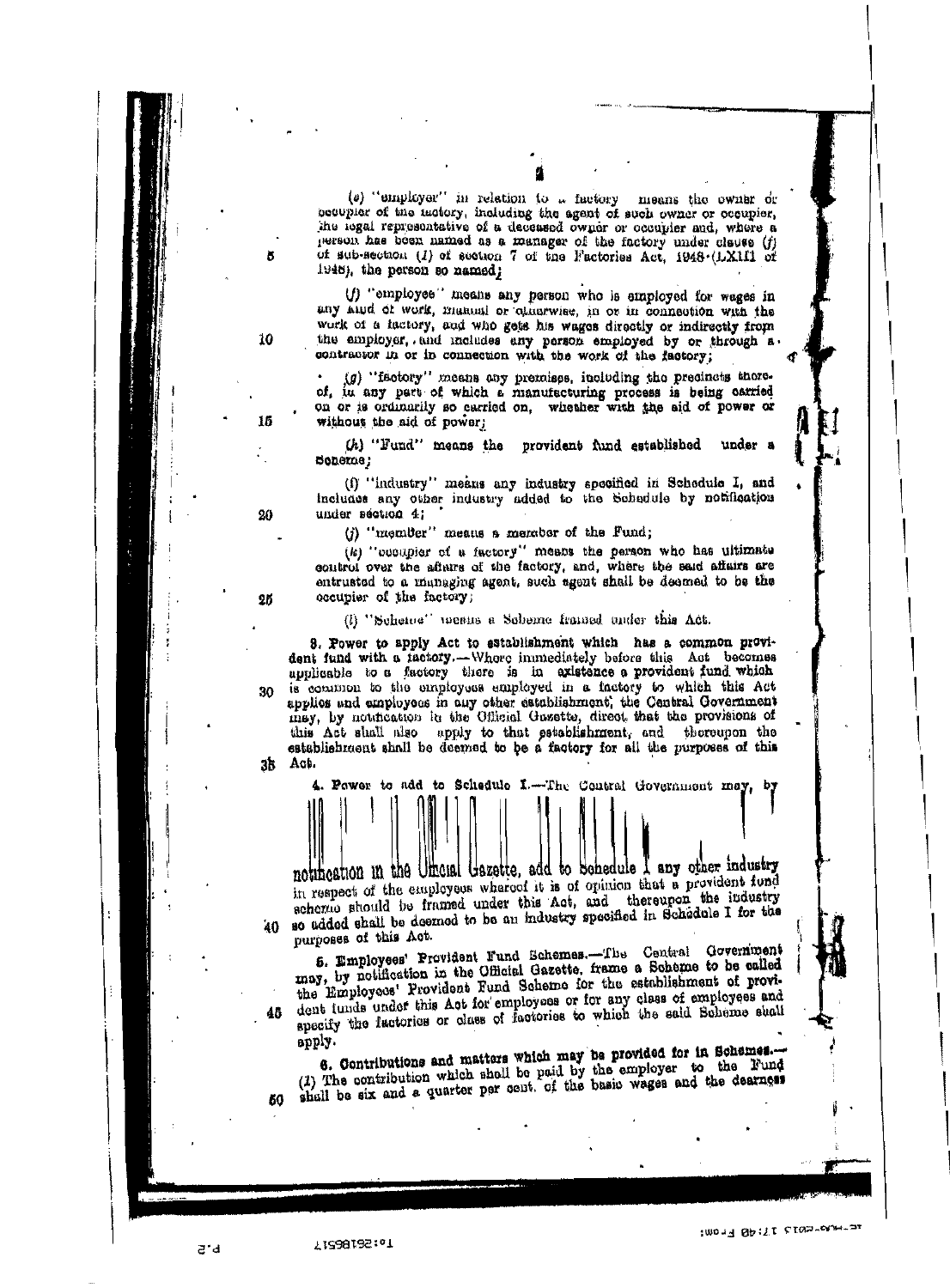(e) "employer" in relation to a factory means the owner or becupier of the ractory, including the agent of such owner or occupier, the legal representative of a deceased owner or occupier and, where a person has been named as a manager of the factory under clause (f) of sub-section (1) of section 7 of the Factories Act, 1948 (LX1II of 1948), the person so named;

(f) "employee" means any person who is employed for wages in any hind of work, manual or otherwise, in or in connection with the work of a factory, and who gets his wages directly or indirectly from the employer, and includes any person employed by or through a

 $(g)$  "factory" means any premises, including the precincts thereof, in any part of which a manufacturing process is being carried on or is ordinarily so carried on, whether with the aid of power or without the aid of power;

(h) "Fund" means the provident fund established under a Soneme;

(f) "industry" means any industry specified in Schedule I, and includes any other industry added to the Schedule by notification under section 4;

(j) "member" means a member of the Fund:

(k) "cooupier of a factory" means the person who has ultimate control over the afterns of the factory, and, where the said affairs are entrusted to a managing agent, such agent shall be deemed to be the occupier of the factory;

(i) "Scheme" mesus a Scheme framed under this Act.

3. Power to apply Act to establishment which has a common provident fund with a factory.-Whore immediately before this Act becomes applicable to a factory there is in existence a provident fund which is common to the employees employed in a factory to which this Act applies and employees in any other establishment, the Central Government 30 may, by notification in the Official Guzette, direct that the provisions of this Act shall also apply to that establishment, and thoreupon the establishment shall be deemed to be a factory for all the purposes of this за Ась.

The Contral Government may, by Power to add to Schedule I .notification in the Uthensi Gazette, add to Schedule I any other industry

in respect of the employees whereof it is of opinion that a provident fund scherae should be framed under this Act, and thereupon the industry so added shall be deemed to be an industry specified in Schedule I for the 40. purposes of this Act.

5. Employees' Provident Fund Schemes.-The Central Government may, by notification in the Official Gazette, frame a Scheme to be called the Employees' Provident Fund Scheme for the establishment of provident tunds under this Act for employees or for any class of employees and specify the factories or class of factories to which the said Beheme shall apply.

shall be six and a quarter per cent. of the basic wages and the dearness

a'd

46

50

10

15

20

25

 $10014$   $Qp:YL$  cross-contract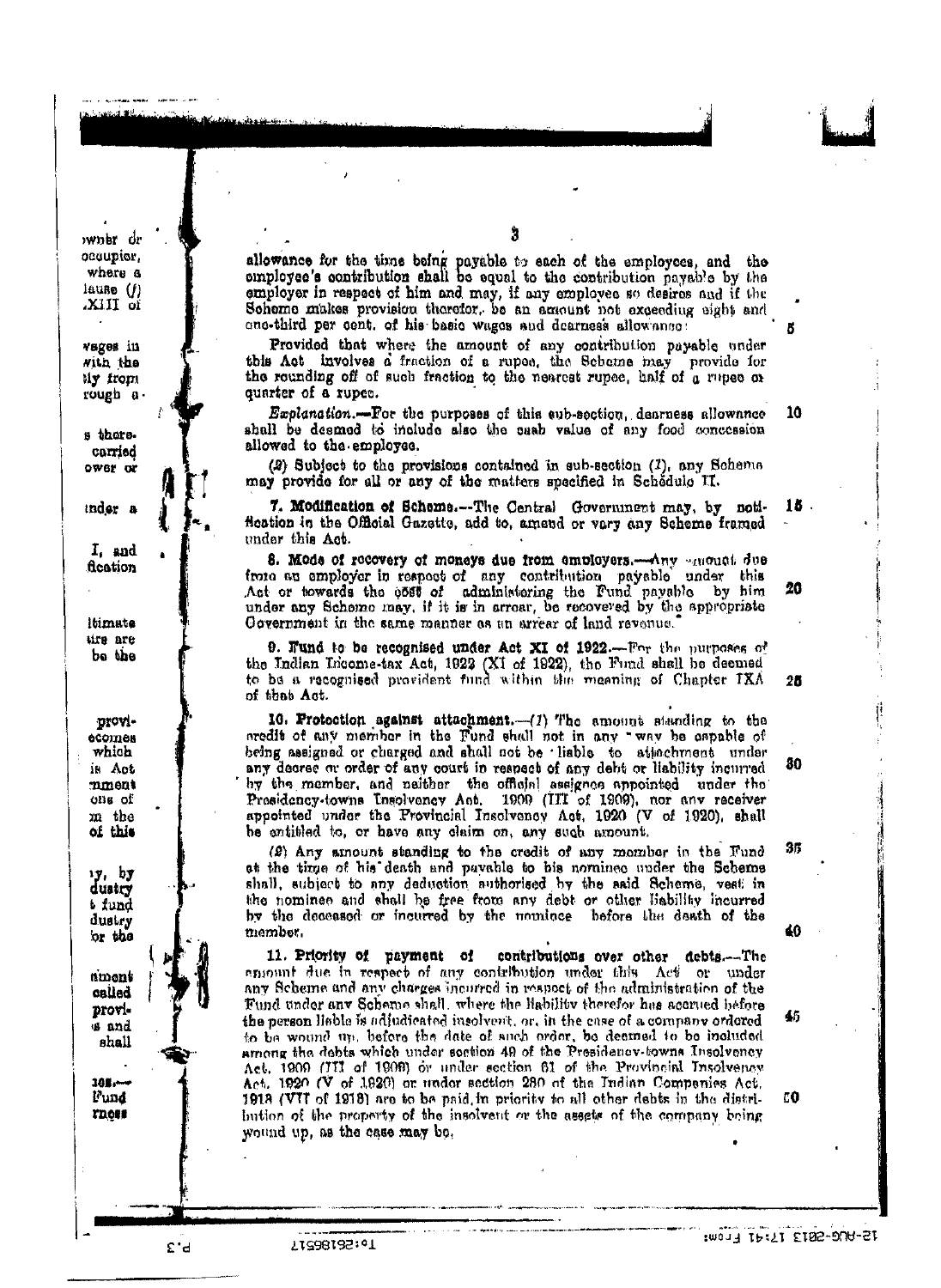wner dr occupior, where a lause  $(f)$ io IIIX.

vages in  $MID$  the tiy from rough a

s thors. carried ower or

inder a

 $I<sub>f</sub>$  and fication

ltimate ure are bo the

Droviесотек which is Act mment ons of m the of this

צל וצי duatry b fund dustry or the

nmont called provis and shall

 $100 -$ Fund rnoss

allowance for the time being payable to each of the employees, and the employee's contribution shall be equal to the contribution payable by the employer in respect of him and may, if any employee so desires and if the Scheme makes provision therefor, be an amount not exceeding eight and one-third per cent. of his basic wages and dearness allowance:

Provided that where the amount of any contribution payable under this Act involves a fraction of a rupee, the Scheme may provide for the rounding off of such fraction to the nearest rupee, half of a rupee or quarter of a rupee.

Explanation.-For the purposes of this sub-section, denrness allownnee shall be deemed to include also the cash value of any food concession allowed to the employee.

(2) Subject to the provisions contained in sub-section (1), any Schema may provide for all or any of the matters specified in Schedule II.

7. Modification of Scheme.--The Central Government may, by noti-15. fication in the Official Gazette, add to, amend or very any Scheme framed under this Act.

8. Mode of recovery of moneys due from employers. Any amount due from an employer in respect of any contribution payable under this Act or towards the 6580 of administering the Fund payable by him under any Schome may, if it is in arrear, be recovered by the appropriate Government in the same manner as an arrear of land revenue.

**9. Fund to be recognised under Act XI of 1922.**—For the purposes of the Indian Income-tax Act, 1922 (XI of 1922), the Fund shall be deemed to be a recognised provident fund within the meaning of Chapter IXA of that Act.

10. Protection against attachment.-(1) The amount standing to the aredit of any member in the Fund shall not in any "way be capable of being assigned or charged and shall not be liable to attachment under any decree or order of any court in respect of any debt or liability incurred by the member, and naither the official assignes appointed under the Presidency-towns Insolvency Act. 1909 (III of 1909), nor any receiver appointed under the Provincial Insolvency Act. 1920 (V of 1920), shall be entitled to, or have any claim on, any such amount.

(2) Any amount standing to the credit of any momber in the Fund at the time of his death and payable to his nominee under the Scheme shall, subject to any deduction authorised by the said Scheme, vest in the nominee and shall be free from any debt or other liability incurred by the deceased or incurred by the nominee before the death of the member.

contributions over other debts.-The 11. Priority of payment of emount due in respect of any contribution under this Act or under any Scheme and any charges incurred in respect of the administration of the Fund under any Scheme shall, where the Hability therefor has accrued before the person liable is adjudicated insolvent, or, in the case of a company ordered to be wound up, before the date of such order, be deemed to be included among the debts which under soction 49 of the Presidency-towns Insolvency Act. 1909 (III of 1909) or under section 61 of the Provincial Insolvency Act. 1920 (V of 1920) or under section 280 of the Indian Companies Act. 1918 (VII of 1918) are to be paid in priority to all other debts in the distribution of the property of the insolvent or the assets of the company being wound up, as the case may be.

Cancer of the Committee Appearing

 $25$ 

20

 $10<sub>1</sub>$ 

80

35

40

EO

£'d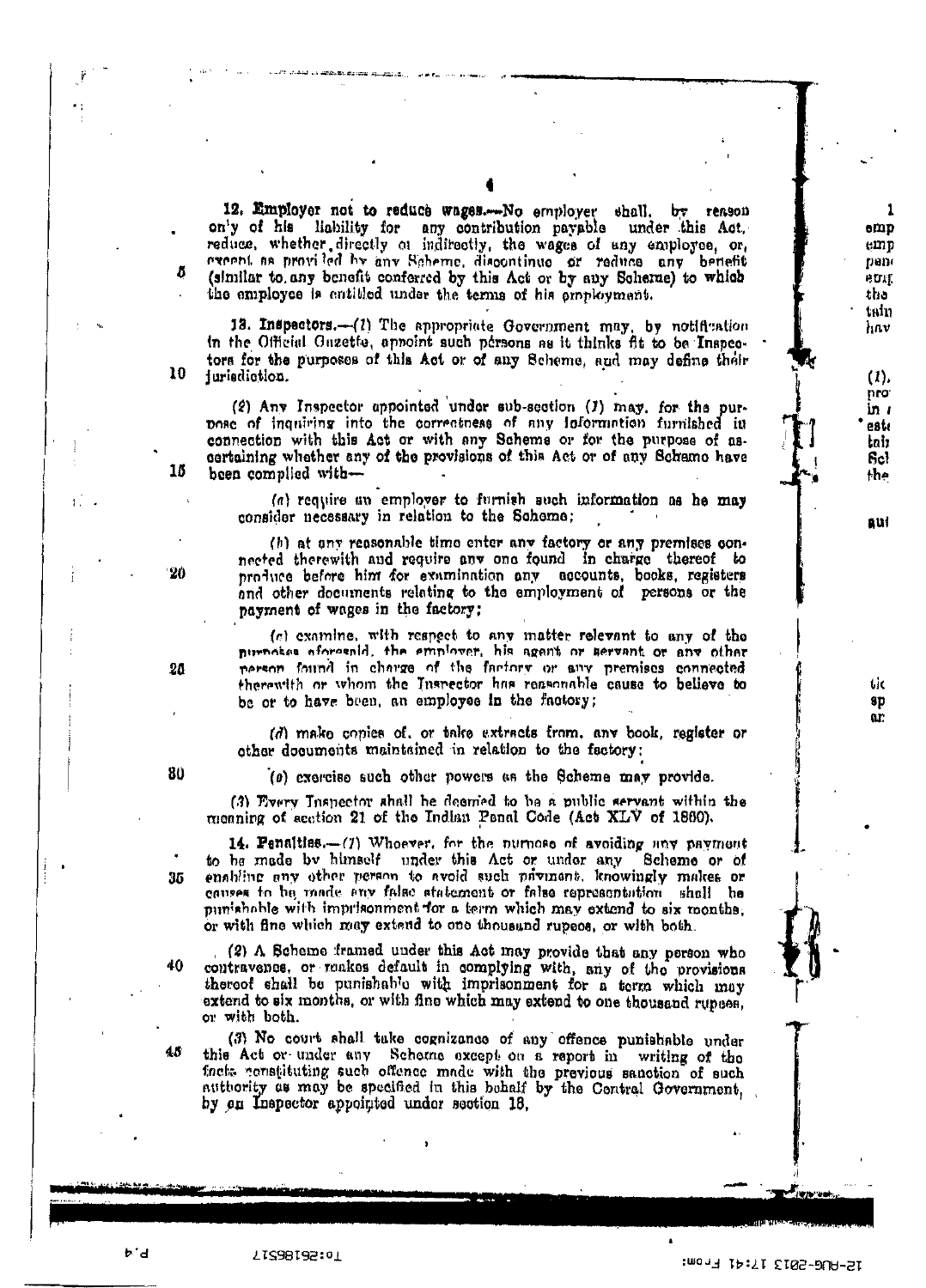12. Employer not to reduce wages.--No employer shall, by reason on'y of his liability for any contribution payable under this Act. reduce, whether directly of inditectly, the wages of any employee, or, execut as provided by any Scheme, discontinue or reduce any benefit (similar to any benefit conferred by this Act or by any Scharne) to which the employee is entitled under the terms of his employment.

13. Inspectors.-- (1) The appropriate Government may, by notification in the Official Gazette, appoint such persons as it thinks fit to be Inspectors for the purposes of this Act or of any Scheme, and may define their juriediction.

(2) Any Inspector appointed under sub-section (1) may, for the purpose of inquiring into the correctness of any information furnished in connection with this Act or with any Scheme or for the purpose of ascertaining whether any of the provisions of this Act or of any Schemo have been complied with-

(a) require an employer to furnish such information as he may consider necessary in relation to the Schome;

(b) at any reasonable time enter any factory or any premises connected therewith and require any one found in charge thereof to produce before him for examination any accounts, books, registers and other documents relating to the employment of persons or the payment of wages in the factory;

(c) examine, with respect to any matter relevant to any of the purnoses aforgenid, the employer, his agent or servant or any other person found in charge of the factory or any premises connected therewith or whom the Inspector has reasonable cause to believe to be or to have been, an employee in the factory;

(d) make copies of, or take extracts from, any book, register or other documents maintained in relation to the factory:

(a) exercise such other powers as the Scheme may provide.

(3) Flyery Inspector shall be decorded to be a public servant within the meaning of section 21 of the Indian Panal Code (Act XLV of 1860).

14. Penalties.-(7) Whoever, for the nurmose of avoiding any payment to be made by himself under this Act or under any Scheme or of enabling any other person to avoid such payment, knowingly makes or causes to be made any false statement or false representation shall be punishable with imprisonment for a term which may extend to six months, or with fine which may extend to one thousand rupees, or with both.

(2) A Scheme framed under this Act may provide that any person who contravence, or makes default in complying with, any of the provisions thereof shall be punishable with imprisonment for a term which may extend to six months, or with fine which may extend to one thousand rupees, or with both.

(3) No court shall take cognizance of any offence punishable under this Act or under any Schome except on a report in writing of the facts constituting such offence made with the previous sanction of such authority as may be specified in this bohalf by the Contral Government, by en Inspector appointed under section 18.

20

10

15

20

 $80$ 

35

40

ゕ゚ゖ

ı

 $emp$ 

 $emp$ 

pane

e trut.

the tain

hav

 $(1)$ pro<sup>-</sup>

in 1

estı

tair

 $f_{\rm sc}$ 

the

 $\mathbf{a}$ uł

tic

8D ar:

70:261853.7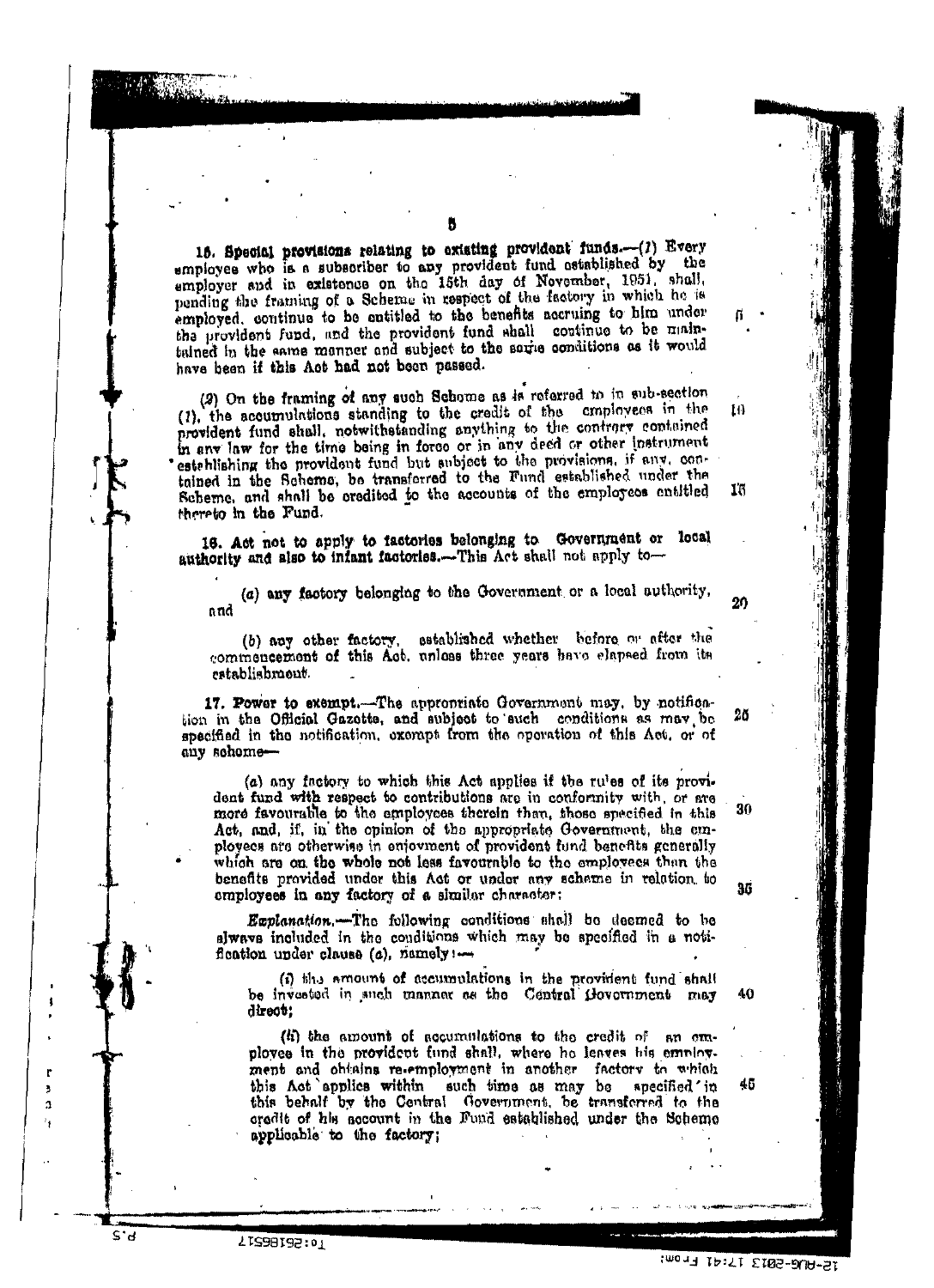16. Special provisions relating to existing provident funds.--(1) Every employee who is a subscriber to any provident fund astablished by the employer and in existence on the 15th day of November, 1951, shall, pending the framing of a Scherne in respect of the factory in which he is employed, continue to be entitled to the benefits accruing to him under the provident fund, and the provident fund shall continue to be maintained in the same manner and subject to the same conditions as it would have been if this Act had not been passed.

(2) On the framing of any such Schome as is referred to in sub-section (1), the accumulations standing to the credit of the cmployees in the  $10$ provident fund shall, notwithstanding anything to the contrary contained in any law for the time being in force or in any deed or other instrument esteblishing the provident fund but subject to the provisions, if any, contained in the Scheme, be transferred to the Fund established under the Scheme, and shall be credited to the accounts of the employees entitled 16 thereto in the Fund.

16. Act not to apply to factories belonging to Government or local authority and slso to infant factories.-This Act shall not apply to-

(a) any factory belonging to the Government or a local authority, nnd

(b) any other factory, established whether before or after the commencement of this Act, unless three years have elapsed from its establishmont.

17. Power to exempt. The appropriate Government may, by notifica-26 tion in the Official Gazotte, and subject to such conditions as may be specified in the notification, exempt from the operation of this Act, or of any schome-

(a) any factory to which this Act applies if the rules of its provident fund with respect to contributions are in conformity with, or are more favourable to the employees therein than, those specified in this Act, and, if, in the opinion of the appropriate Government, the employees are otherwise in enjoyment of provident fund benefits generally which are on the whole not less favourable to the employees than the benefits provided under this Act or under any schame in relation to employees in any factory of a similar character:

Explanation.-The following conditions shall be deemed to be alwave included in the conditions which may be specified in a notifloation under clause (a), namely !-

(i) the amount of accumulations in the provident fund shall be invested in such manner as the Central Government may 40 direct:

 $(i)$  the amount of accumulations to the credit of  $\,$  an employee in the provident fund shall, where he leaves his employment and obtains re-employment in another factory to which this Act applies within such time as may be specified ' in this behalf by the Central Government, be transferred to the credit of his account in the Fund established under the Scheme applicable to the factory;

ľ

3

ä,

S'd

12-AUG-2013 17:41 From:

45

20

30

35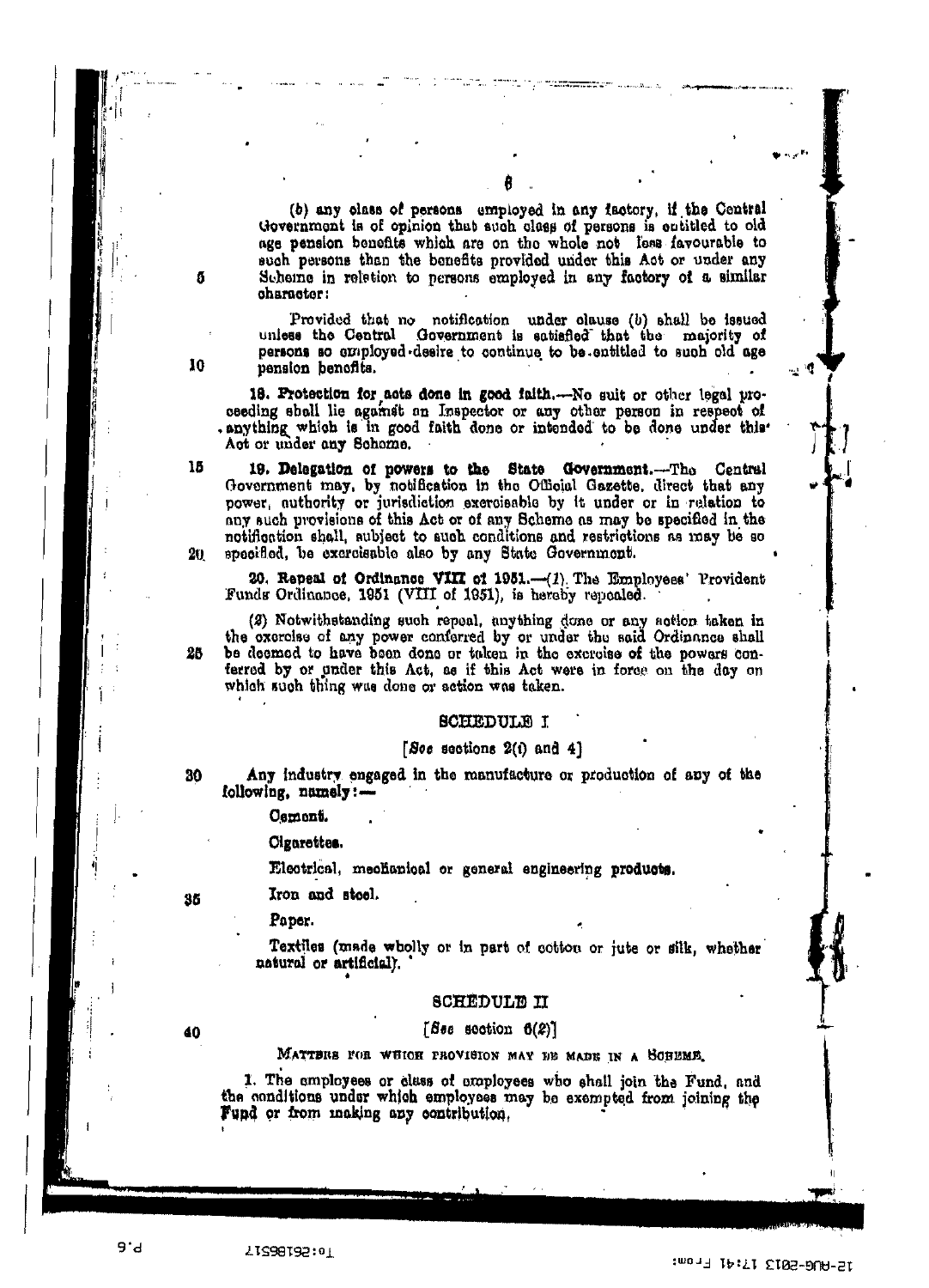(b) any class of persons employed in any factory, if the Central Government is of opinion that such class of persons is cutitled to old age pension benefits which are on the whole not less favourable to such persons than the benefits provided under this Act or under any Scheme in reletion to persons employed in any factory of a similar character:

Provided that no notification under clause (b) shall be issued as the Central Government is satisfied that the majority of uniess the Central persons so employed desire to continue to be entitled to such old age pension benefits.

18. Protection for acts done in good faith.-No suit or other legal proceeding shall lie against an Inspector or any other person in respect of . anything which is in good faith done or intended to be done under this Act or under any Schome.

19. Delegation of powers to the State Government.---The Central Government may, by notification in the Official Gazette, direct that any power, authority or jurisdiction exercisable by it under or in relation to any such provisions of this Act or of any Scheme as may be specified in the notification shall, subject to such conditions and restrictions as may be so specified, be excreisable also by any State Government. 20.

20. Repeal of Ordinance VIII of 1951.-(1). The Employees' Provident Funds Ordinance, 1951 (VIII of 1951), is hereby repealed.

(2) Notwithstanding such repeal, anything done or any action taken in the exercise of any power conferred by or under the said Ordinance shall be deemed to have been done or taken in the excreise of the powers conferred by or under this Act, as if this Act were in force on the day on which such thing was done or action was taken.

#### **BCHEDULE I**

#### [Soc sections  $2(i)$  and  $4$ ]

Any industry engaged in the manufacture or production of any of the following, namely:-

Cement.

Cigarettes.

Electrical, mechanical or general engineering products.

Iron and stoel.

Paper.

Textiles (made wholly or in part of cottou or jute or silk, whether natural or artificial).

#### **SCREDULE II**

#### [See section  $6(2)$ ]

MATTERS FOR WUICH PROVISION MAY DE MADE IN A SCHEME.

1. The employees or class of employees who shall join the Fund, and the conditions under which employees may be exempted from joining the Fund or from making any contribution,

15

ñ

10

30

25

35

40

12-AU6-2013 17:41 From:

 $\mathbf{r}_i$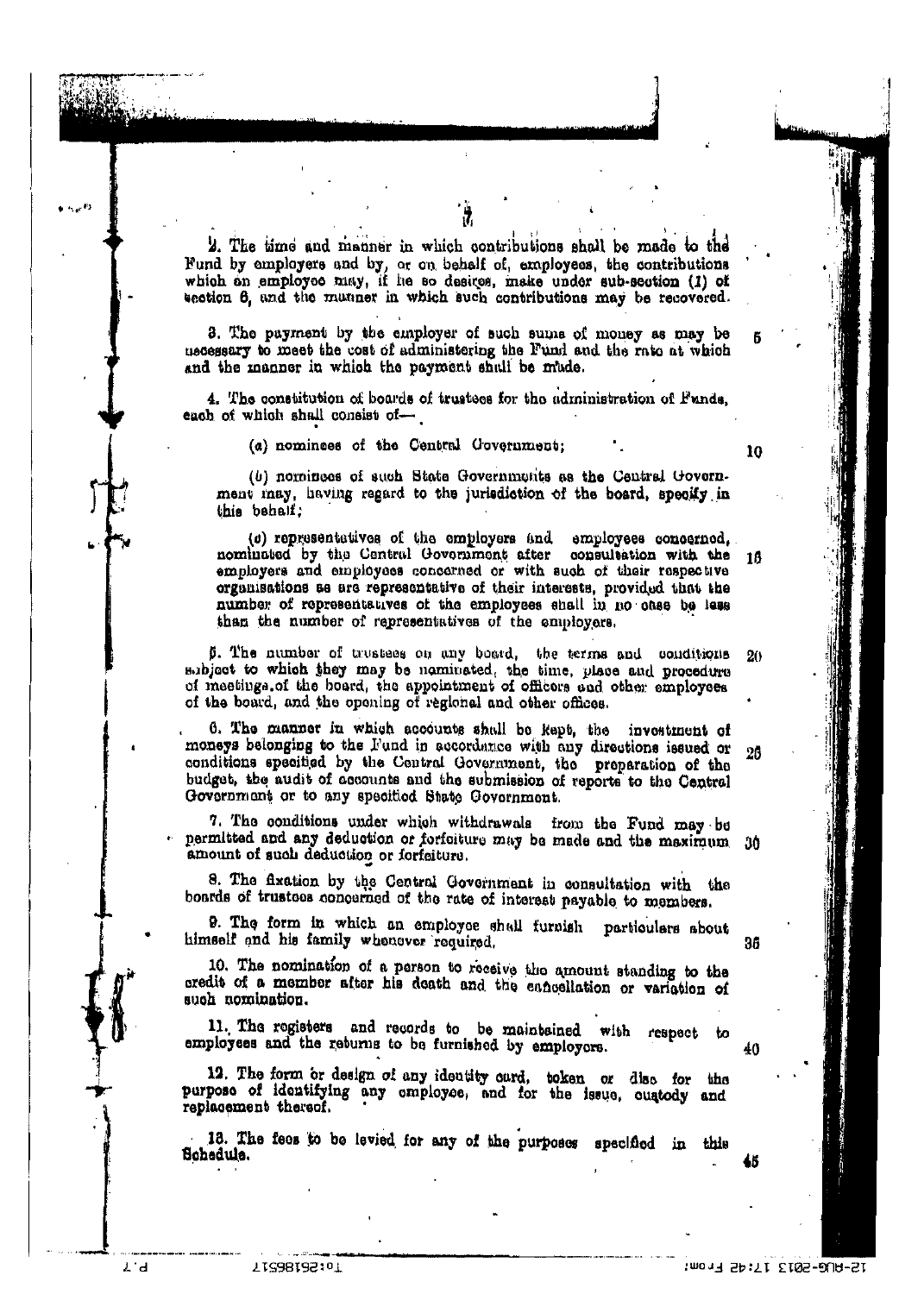2. The time and manner in which contributions shall be made to the Fund by employers and by, or on behalf of, employees, the contributions which on employee may, if he so desires, make under sub-section (1) of section 6, and the manner in which such contributions may be recovered.

3. The payment by the employer of such sums of money as may be necessary to meet the cost of administering the Fund and the rate at which and the manner in which the payment shall be mude.

4. The constitution of boards of trustees for the administration of Funds, each of which shall consist of-

(a) nominees of the Central Government;

(b) nominees of such State Governments as the Central Government may, having regard to the jurisdiction of the board, specity in this behalf:

(c) representatives of the employers and employees concerned, nominated by the Central Government after consultation with the 18 employers and employees concerned or with such of their respective organisations as are representative of their interests, provided that the number of representatives of the employees shall in no case be less than the number of representatives of the employers.

5. The number of trustees on any board, the terms and conditions  $20$ subject to which they may be naminated, the time, place and procedure of meetings of the board, the appointment of officers and other employees of the board, and the opening of regional and other offices.

6. The manner in which accounts shall be kept, the investment of moneys belonging to the Fund in accordance with any directions issued or 26 conditions specified by the Central Government, the preparation of the budget, the audit of accounts and the submission of reports to the Central Government or to any specified State Government.

7. The conditions under which withdrawals from the Fund may be permitted and any deduction or forfolture may be made and the maximum 30 amount of such deduction or forfeiture.

8. The fixation by the Central Government in consultation with the boards of trustees concerned of the rate of interest payable to members.

9. The form in which an employee shall furnish particulars about himself and his family whenever required.

10. The nomination of a person to receive the amount standing to the credit of a member after his death and the enneellation or variation of such nomination.

11. The registers and records to be maintained with respect to employees and the returns to be furnished by employors.

12. The form or design of any identity oard, token or disc for the purpose of identifying any employee, and for the issue, cuatody and replacement thereof.

13. The fees to be levied for any of the purposes specified in this Schedule.

Rб

12-AUG-2013 17:42 From:

10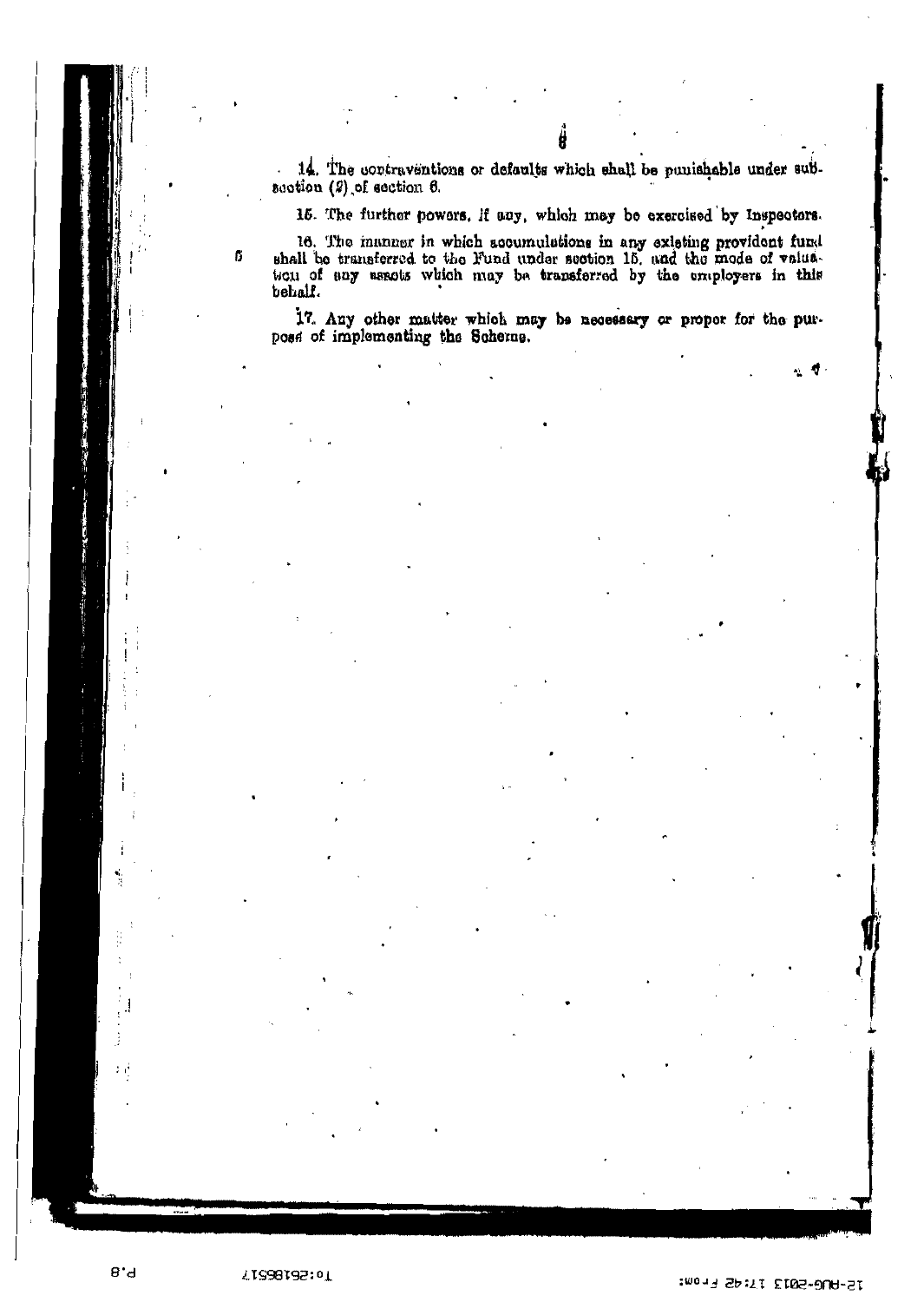14. The contraventions or defaults which shall be punishable under subsection  $(2)$  of section  $6$ .

15. The further powers, if any, which may be exercised by Inspectors.

16. The inanner in which accumulations in any existing provident fund shall be transferred to the Fund under section 15, and the mode of valuaticu of any asacts which may be transferred by the employers in this behalf.

ß

経っている

 $8'd$ 

17. Any other matter which may be necessary or proper for the purpose of implementing the Scherne.

 $\frac{1}{2}$ 

T0:28185:0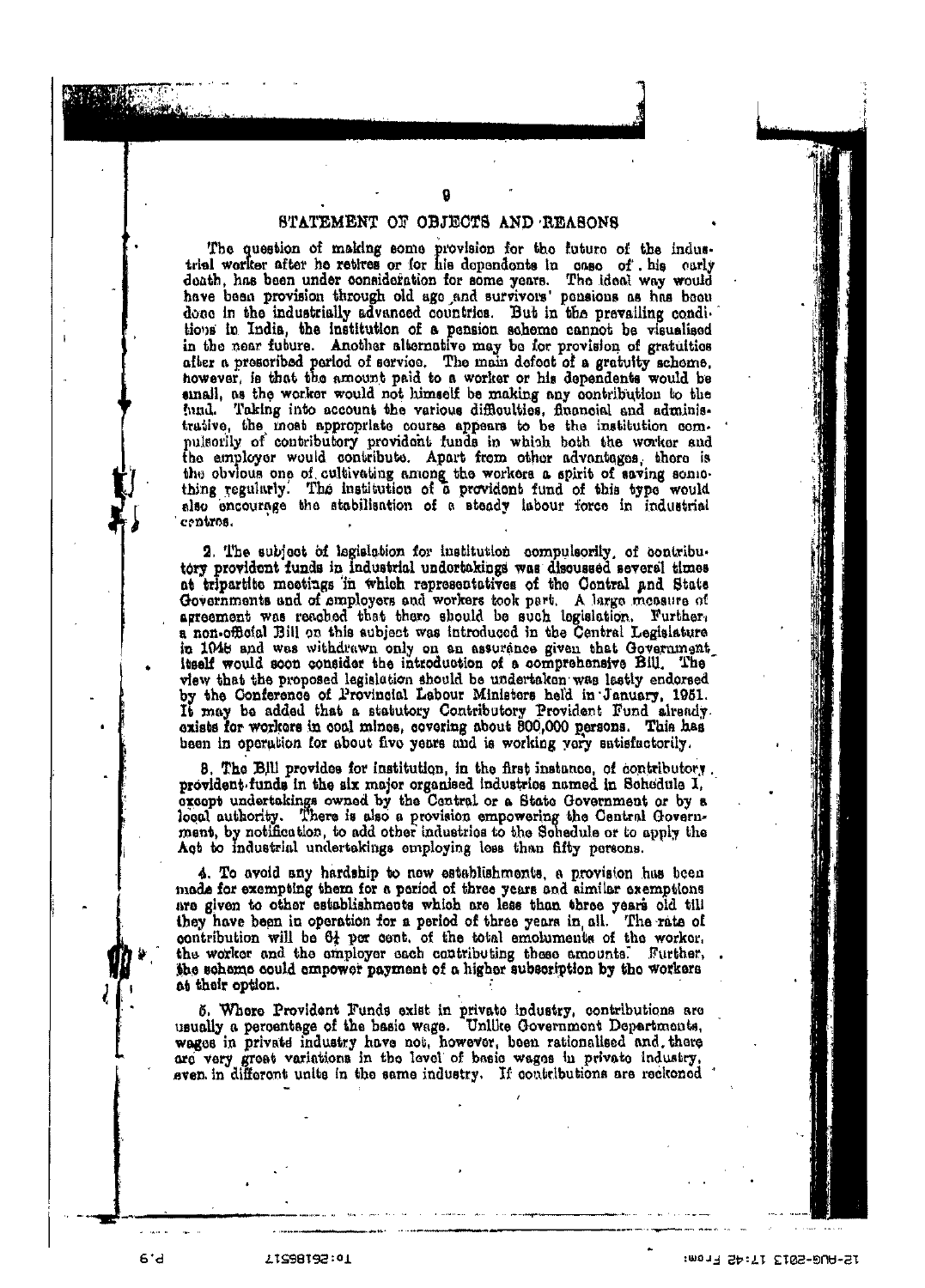#### STATEMENT OF OBJECTS AND REASONS

The question of making some provision for the future of the industrial worker after he retires or for his dependents in case of his carly death, has been under consideration for some years. The ideal way would have been provision through old age and survivors' pensions as has been done in the industrially advanced countries. But in the prevailing conditions in India, the institution of a pension scheme cannot be visualised in the near future. Another alternative may be for provision of gratuities after a prescribed period of service. The main defect of a gratuity scheme. however, is that the amount paid to a worker or his dependents would be small, as the worker would not himself be making any contribution to the hund. Taking into account the various difficulties, financial and administrative, the most appropriate course appears to be the institution compulsorlly of contributory provident funds in which both the worker and the employer would contribute. Apart from other advantages, there is the obvious one of cultivating among the workers a spirit of saving something regularly. The institution of a provident fund of this type would also encourage the stabilisation of a steady labour force in industrial centros.

2. The subject of legislation for institution compulsorily, of contributory provident funds in industrial undertakings was discussed several times at tripartite meetings in which representatives of the Contral and State Governments and of employers and workers took part. A large measure of agreement was reached that there should be such legislation. Further, a non-official Bill on this aubject was introduced in the Central Legislature in 1048 and was withdrawn only on an assurance given that Government itself would soon consider the introduction of a comprehensive Bill. The view that the proposed legislation should be undertaken was lastly endorsed by the Conference of Provincial Labour Ministers held in January, 1951. It may be added that a statutory Contributory Provident Fund already.<br>exists for workers in coal mines, covering about 800,000 persons. This has been in operation for about five years and is working yery satisfactorily.

8. The Bill provides for institution, in the first instance, of contributory. provident funds in the six major organised industries named in Schedule I. except undertakings owned by the Central or a State Government or by a local authority. There is also a provision empowering the Central Government, by notification, to add other industries to the Schedule or to apply the Act to industrial undertakings employing less than fifty persons.

4. To avoid any hardship to new establishments, a provision has been made for exempting them for a period of three years and aimilar exemptions are given to other establishments which are less than three years old till they have been in operation for a period of three years in all. The rate of contribution will be 61 per cent. of the total emoluments of the worker. the worker and the employer each contributing these amounts. Further, the scheme could empower payment of a higher subscription by the workers at their option.

5. Where Provident Funds exist in private industry, contributions are usually a percentage of the basic wage. Unlike Government Departments, wages in private industry have not, however, been rationalised and there are very great variations in the level of basic wages in private industry, even in different units in the same industry. If contributions are reckoned

 $6'd$ 

21S98192:01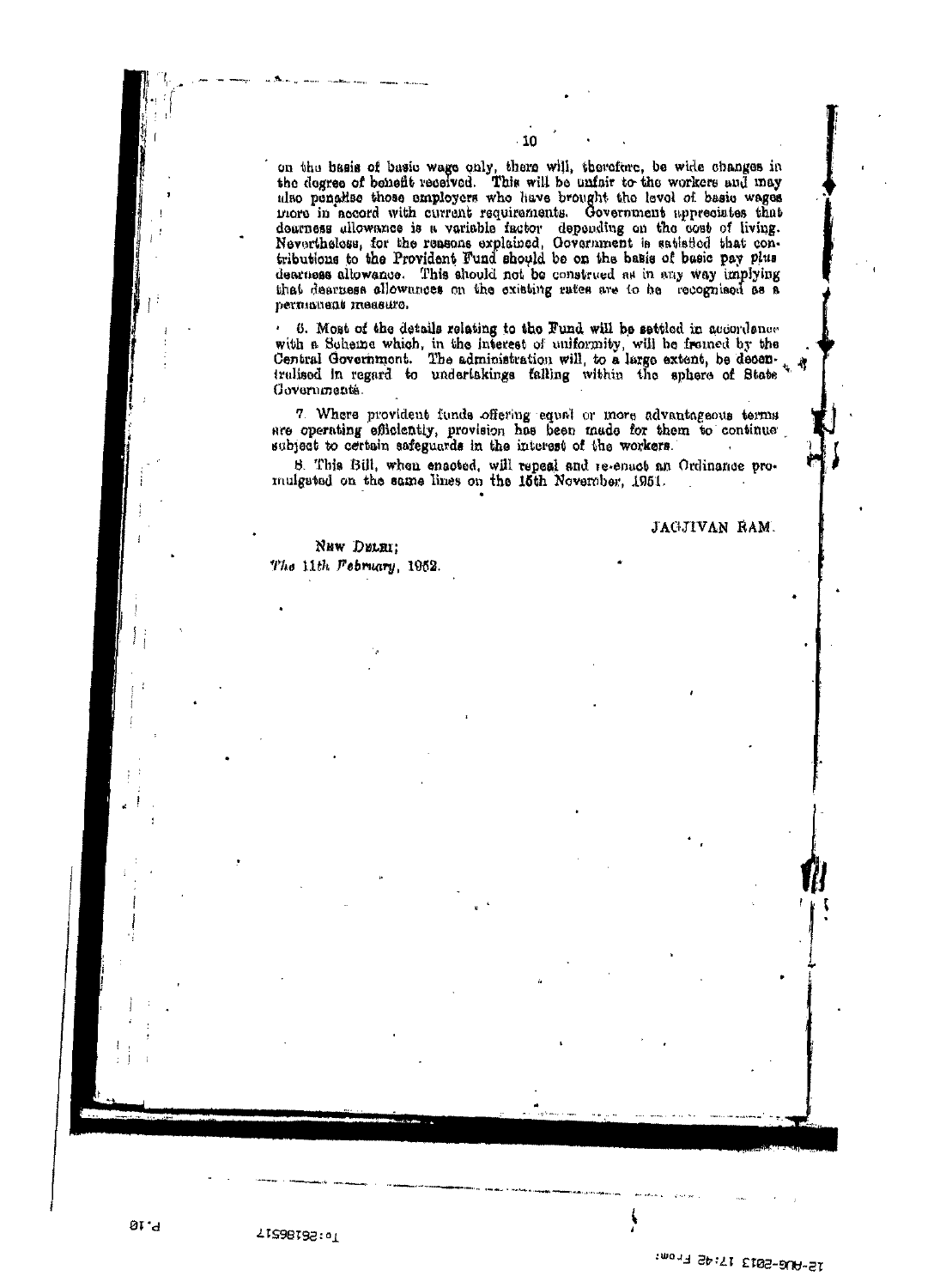on the basis of basic wage only, there will, therefore, be wide changes in the dogree of beheft received. This will be unfair to the workers and may also penaltse those employers who have brought the level of basic wages more in accord with current requirements. Government appreciates that deurness allowance is a variable factor depending on the cost of living. Nevertheless, for the reasons explained, Oovernment is satisfied that contributions to the Provident Fund should be on the basis of basic pay plus dearness allowance. This should not be construed as in any way implying that dearness allowances on the existing rates are to he recognised as a ретполени теазито.

10

6. Most of the details relating to the Fund will be settled in accordance with a Scheme which, in the interest of uniformity, will be fromed by the Central Government. The administration will, to a large extent, be decemtralised in regard to underlakings falling within the sphere of State Governments.

7. Where provident funds offering equal or more advantageous terms are operating efficiently, provision has been made for them to continue subject to certain safeguards in the interest of the workers.

8. This Bill, when enacted, will repeal and re-enact an Ordinance pro-mulgeted on the same lines on the 15th November, 1951.

NEW DELEI: The 11th February, 1952. JAGJIVAN RAM.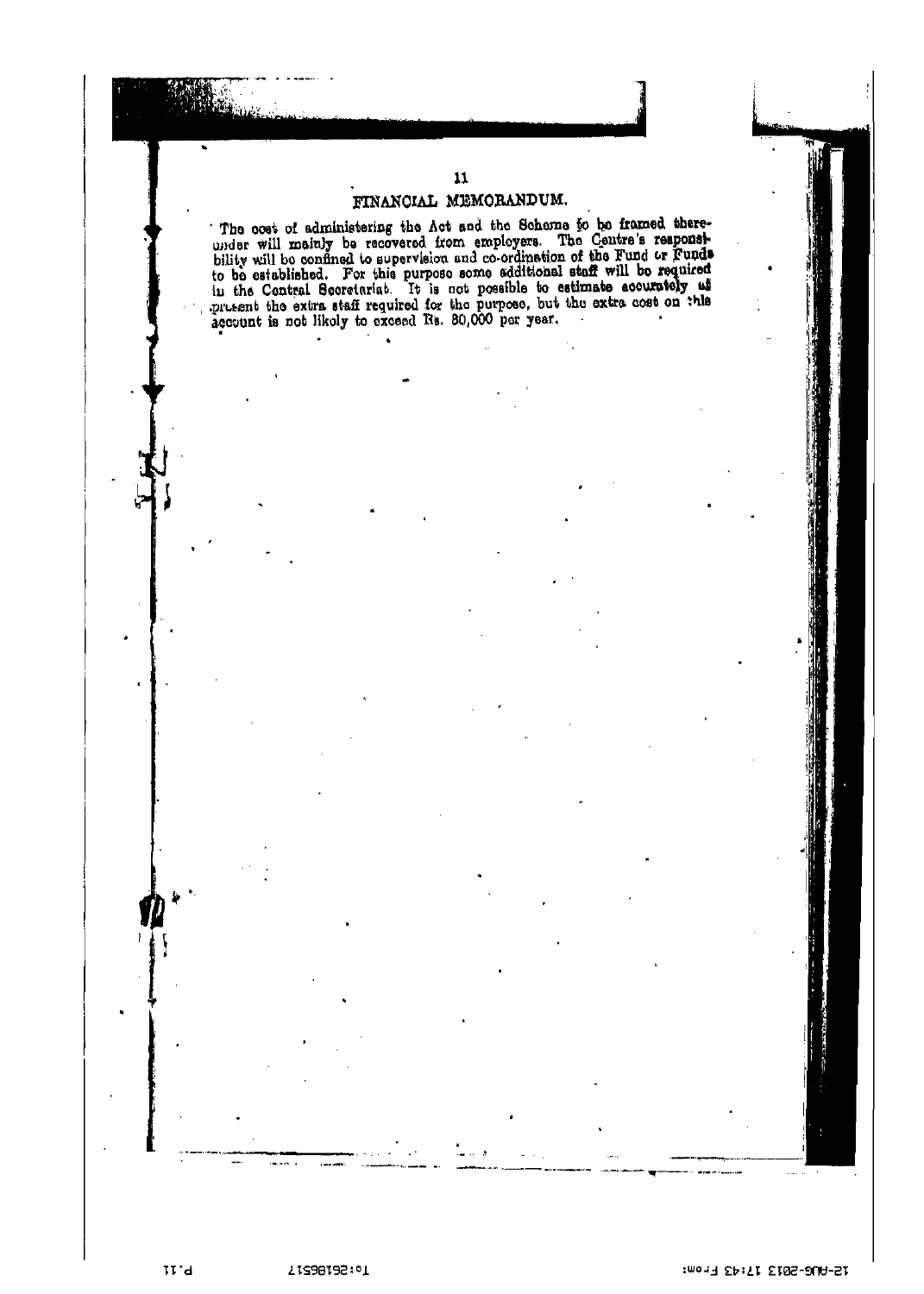### $11$ FINANCIAL MEMORANDUM.

The cost of administering the Act and the Scheme to be framed there-<br>under will mainly be recovered from employers. The Centre's responsi-<br>bility will be confined to supervision and co-ordination of the Fund or Funds<br>to be